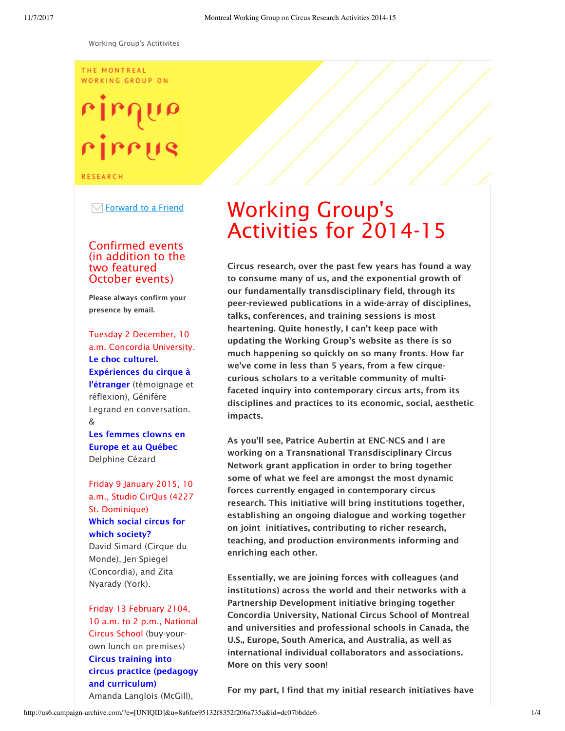#### THE MONTREAL WORKING GROUP ON

# rirrus

**RESEARCH** 

 $\boxdot$  Forward to a Friend

#### Confirmed events (in addition to the two featured October events)

Please always confirm your presence by email.

Tuesday 2 December, 10 a.m. Concordia University. Le choc culturel. Expériences du cirque à l'étranger (témoignage et réflexion), Génifère Legrand en conversation. &

#### Les femmes clowns en Europe et au Québec Delphine Cézard

Friday 9 January 2015, 10 a.m., Studio CirQus (4227 St. Dominique) Which social circus for which society?

David Simard (Cirque du Monde), Jen Spiegel (Concordia), and Zita Nyarady (York).

#### Friday 13 February 2104, 10 a.m. to 2 p.m., National Circus School (buy-yourown lunch on premises) Circus training into circus practice (pedagogy and curriculum) Amanda Langlois (McGill),

Working Group's Activities for 2014-15

Circus research, over the past few years has found a way to consume many of us, and the exponential growth of our fundamentally transdisciplinary field, through its peer-reviewed publications in a wide-array of disciplines, talks, conferences, and training sessions is most heartening. Quite honestly, I can't keep pace with updating the Working Group's website as there is so much happening so quickly on so many fronts. How far we've come in less than 5 years, from a few cirquecurious scholars to a veritable community of multifaceted inquiry into contemporary circus arts, from its disciplines and practices to its economic, social, aesthetic impacts.

As you'll see, Patrice Aubertin at ENC-NCS and I are working on a Transnational Transdisciplinary Circus Network grant application in order to bring together some of what we feel are amongst the most dynamic forces currently engaged in contemporary circus research. This initiative will bring institutions together, establishing an ongoing dialogue and working together on joint initiatives, contributing to richer research, teaching, and production environments informing and enriching each other.

Essentially, we are joining forces with colleagues (and institutions) across the world and their networks with a Partnership Development initiative bringing together Concordia University, National Circus School of Montreal and universities and professional schools in Canada, the U.S., Europe, South America, and Australia, as well as international individual collaborators and associations. More on this very soon!

For my part, I find that my initial research initiatives have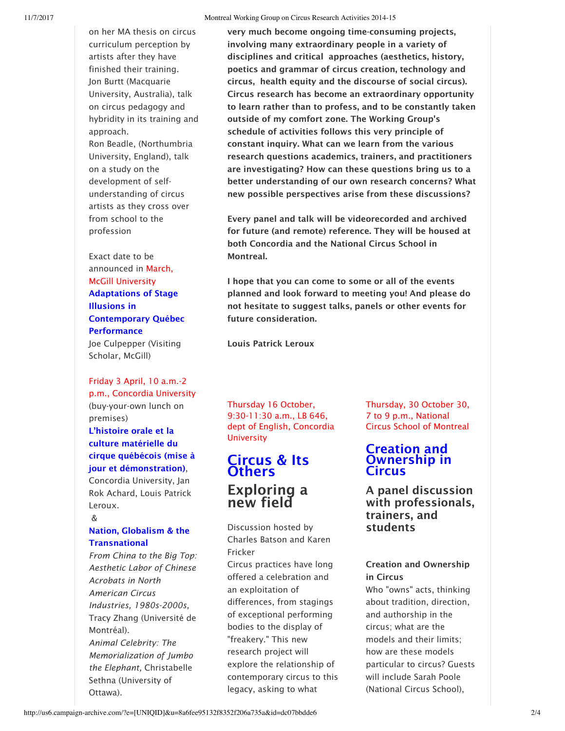on her MA thesis on circus curriculum perception by artists after they have finished their training. Jon Burtt (Macquarie University, Australia), talk on circus pedagogy and hybridity in its training and approach.

Ron Beadle, (Northumbria University, England), talk on a study on the development of selfunderstanding of circus artists as they cross over from school to the profession

Exact date to be announced in March, McGill University Adaptations of Stage

## Illusions in Contemporary Québec **Performance**

Joe Culpepper (Visiting Scholar, McGill)

# Friday 3 April, 10 a.m.-2

p.m., Concordia University (buy-your-own lunch on premises) L'histoire orale et la culture matérielle du cirque québécois (mise à jour et démonstration),

Concordia University, Jan Rok Achard, Louis Patrick Leroux.

## &

#### Nation, Globalism & the **Transnational**

*From China to the Big Top: Aesthetic Labor of Chinese Acrobats in North American Circus Industries, 1980s-2000s,* Tracy Zhang (Université de Montréal). *Animal Celebrity: The Memorialization of Jumbo the Elephant,* Christabelle Sethna (University of Ottawa).

very much become ongoing time-consuming projects, involving many extraordinary people in a variety of disciplines and critical approaches (aesthetics, history, poetics and grammar of circus creation, technology and circus, health equity and the discourse of social circus). Circus research has become an extraordinary opportunity to learn rather than to profess, and to be constantly taken outside of my comfort zone. The Working Group's schedule of activities follows this very principle of constant inquiry. What can we learn from the various research questions academics, trainers, and practitioners are investigating? How can these questions bring us to a better understanding of our own research concerns? What new possible perspectives arise from these discussions?

Every panel and talk will be videorecorded and archived for future (and remote) reference. They will be housed at both Concordia and the National Circus School in Montreal.

I hope that you can come to some or all of the events planned and look forward to meeting you! And please do not hesitate to suggest talks, panels or other events for future consideration.

Louis Patrick Leroux

Thursday 16 October, 9:30-11:30 a.m., LB 646, dept of English, Concordia **University** 

## Circus & Its **Others** Exploring a new field

Discussion hosted by Charles Batson and Karen Fricker

Circus practices have long offered a celebration and an exploitation of differences, from stagings of exceptional performing bodies to the display of "freakery." This new research project will explore the relationship of contemporary circus to this legacy, asking to what

Thursday, 30 October 30, 7 to 9 p.m., National Circus School of Montreal

### Creation and Ownership in Circus

A panel discussion with professionals, trainers, and students

#### Creation and Ownership in Circus

Who "owns" acts, thinking about tradition, direction, and authorship in the circus; what are the models and their limits; how are these models particular to circus? Guests will include Sarah Poole (National Circus School),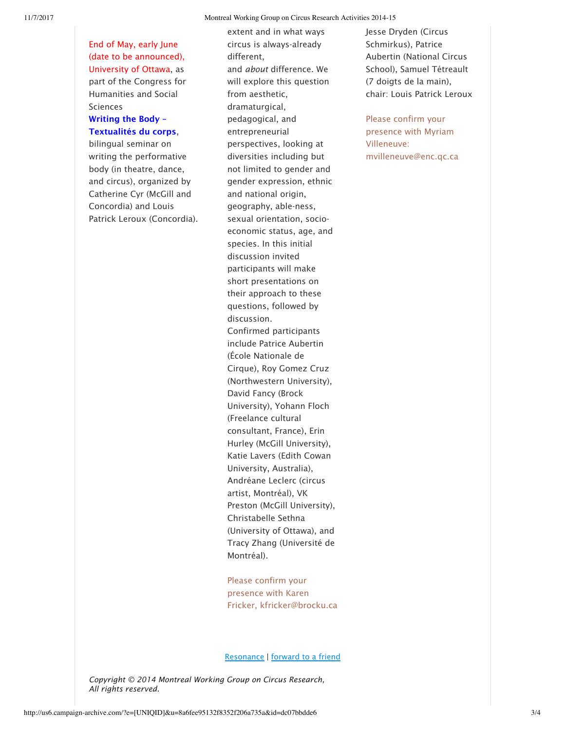End of May, early June (date to be announced), University of Ottawa, as part of the Congress for Humanities and Social Sciences

#### Writing the Body – Textualités du corps,

bilingual seminar on writing the performative body (in theatre, dance, and circus), organized by Catherine Cyr (McGill and Concordia) and Louis Patrick Leroux (Concordia). extent and in what ways circus is always-already different, and *about* difference. We will explore this question from aesthetic, dramaturgical, pedagogical, and entrepreneurial perspectives, looking at diversities including but not limited to gender and gender expression, ethnic and national origin, geography, able-ness, sexual orientation, socioeconomic status, age, and species. In this initial discussion invited participants will make short presentations on their approach to these questions, followed by discussion. Confirmed participants include Patrice Aubertin (École Nationale de Cirque), Roy Gomez Cruz (Northwestern University), David Fancy (Brock University), Yohann Floch (Freelance cultural consultant, France), Erin Hurley (McGill University), Katie Lavers (Edith Cowan University, Australia), Andréane Leclerc (circus artist, Montréal), VK Preston (McGill University), Christabelle Sethna (University of Ottawa), and Tracy Zhang (Université de Montréal).

Please confirm your presence with Karen Fricker, kfricker@brocku.ca Jesse Dryden (Circus Schmirkus), Patrice Aubertin (National Circus School), Samuel Tétreault (7 doigts de la main), chair: Louis Patrick Leroux

Please confirm your presence with Myriam Villeneuve: mvilleneuve@enc.qc.ca

Resonance | forward to a friend